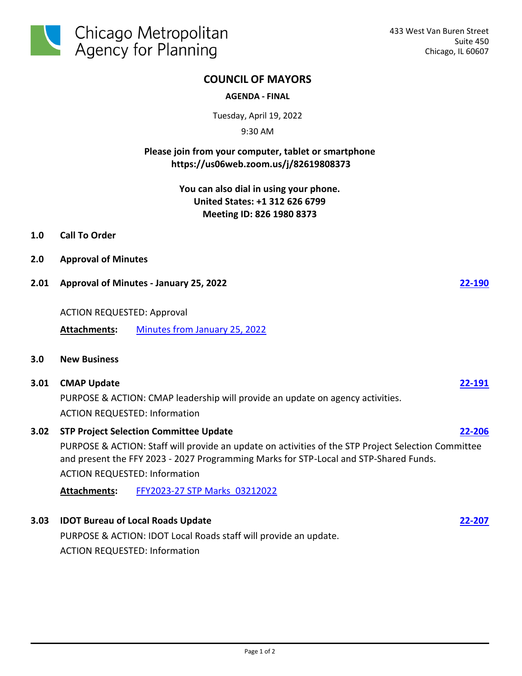

# **COUNCIL OF MAYORS**

### **AGENDA - FINAL**

Tuesday, April 19, 2022

9:30 AM

# **Please join from your computer, tablet or smartphone https://us06web.zoom.us/j/82619808373**

**You can also dial in using your phone. United States: +1 312 626 6799 Meeting ID: 826 1980 8373**

- **1.0 Call To Order**
- **2.0 Approval of Minutes**
- **2.01 Approval of Minutes January 25, 2022 [22-190](http://cmap.legistar.com/gateway.aspx?m=l&id=/matter.aspx?key=1470)**

## ACTION REQUESTED: Approval

**Attachments:** [Minutes from January 25, 2022](http://cmap.legistar.com/gateway.aspx?M=F&ID=c1dd41a9-9a02-481e-b4e1-d84663707753.pdf)

## **3.0 New Business**

### **3.01 CMAP Update [22-191](http://cmap.legistar.com/gateway.aspx?m=l&id=/matter.aspx?key=1471)**

PURPOSE & ACTION: CMAP leadership will provide an update on agency activities. ACTION REQUESTED: Information

# **3.02 STP Project Selection Committee Update [22-206](http://cmap.legistar.com/gateway.aspx?m=l&id=/matter.aspx?key=1487)** PURPOSE & ACTION: Staff will provide an update on activities of the STP Project Selection Committee and present the FFY 2023 - 2027 Programming Marks for STP-Local and STP-Shared Funds.

ACTION REQUESTED: Information

**Attachments:** [FFY2023-27 STP Marks\\_03212022](http://cmap.legistar.com/gateway.aspx?M=F&ID=84518581-4a2e-4525-87d4-c71f7bb9da0a.pdf)

## **3.03 IDOT Bureau of Local Roads Update [22-207](http://cmap.legistar.com/gateway.aspx?m=l&id=/matter.aspx?key=1488)**

PURPOSE & ACTION: IDOT Local Roads staff will provide an update. ACTION REQUESTED: Information